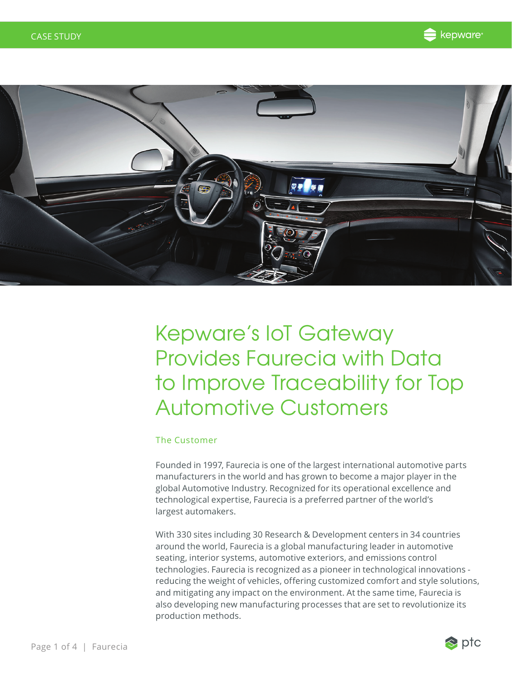



# Kepware's IoT Gateway Provides Faurecia with Data to Improve Traceability for Top Automotive Customers

### The Customer

Founded in 1997, Faurecia is one of the largest international automotive parts manufacturers in the world and has grown to become a major player in the global Automotive Industry. Recognized for its operational excellence and technological expertise, Faurecia is a preferred partner of the world's largest automakers.

With 330 sites including 30 Research & Development centers in 34 countries around the world, Faurecia is a global manufacturing leader in automotive seating, interior systems, automotive exteriors, and emissions control technologies. Faurecia is recognized as a pioneer in technological innovations reducing the weight of vehicles, offering customized comfort and style solutions, and mitigating any impact on the environment. At the same time, Faurecia is also developing new manufacturing processes that are set to revolutionize its production methods.

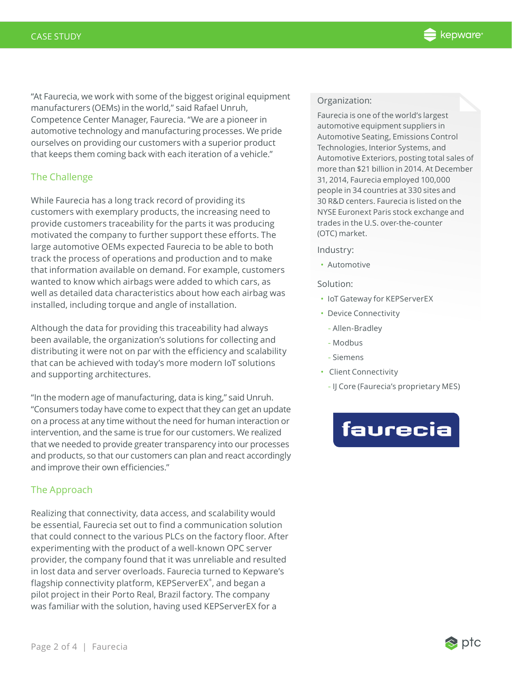

"At Faurecia, we work with some of the biggest original equipment manufacturers (OEMs) in the world," said Rafael Unruh, Competence Center Manager, Faurecia. "We are a pioneer in automotive technology and manufacturing processes. We pride ourselves on providing our customers with a superior product that keeps them coming back with each iteration of a vehicle."

## The Challenge

While Faurecia has a long track record of providing its customers with exemplary products, the increasing need to provide customers traceability for the parts it was producing motivated the company to further support these efforts. The large automotive OEMs expected Faurecia to be able to both track the process of operations and production and to make that information available on demand. For example, customers wanted to know which airbags were added to which cars, as well as detailed data characteristics about how each airbag was installed, including torque and angle of installation.

Although the data for providing this traceability had always been available, the organization's solutions for collecting and distributing it were not on par with the efficiency and scalability that can be achieved with today's more modern IoT solutions and supporting architectures.

"In the modern age of manufacturing, data is king," said Unruh. "Consumers today have come to expect that they can get an update on a process at any time without the need for human interaction or intervention, and the same is true for our customers. We realized that we needed to provide greater transparency into our processes and products, so that our customers can plan and react accordingly and improve their own efficiencies."

### The Approach

Realizing that connectivity, data access, and scalability would be essential, Faurecia set out to find a communication solution that could connect to the various PLCs on the factory floor. After experimenting with the product of a well-known OPC server provider, the company found that it was unreliable and resulted in lost data and server overloads. Faurecia turned to Kepware's flagship connectivity platform, KEPServerEX® , and began a pilot project in their Porto Real, Brazil factory. The company was familiar with the solution, having used KEPServerEX for a

#### Organization:

Faurecia is one of the world's largest automotive equipment suppliers in Automotive Seating, Emissions Control Technologies, Interior Systems, and Automotive Exteriors, posting total sales of more than \$21 billion in 2014. At December 31, 2014, Faurecia employed 100,000 people in 34 countries at 330 sites and 30 R&D centers. Faurecia is listed on the NYSE Euronext Paris stock exchange and trades in the U.S. over-the-counter (OTC) market.

#### Industry:

• Automotive

#### Solution:

- IoT Gateway for KEPServerEX
- Device Connectivity
	- Allen-Bradley
	- Modbus
	- Siemens
- Client Connectivity
	- IJ Core (Faurecia's proprietary MES)

# faurecia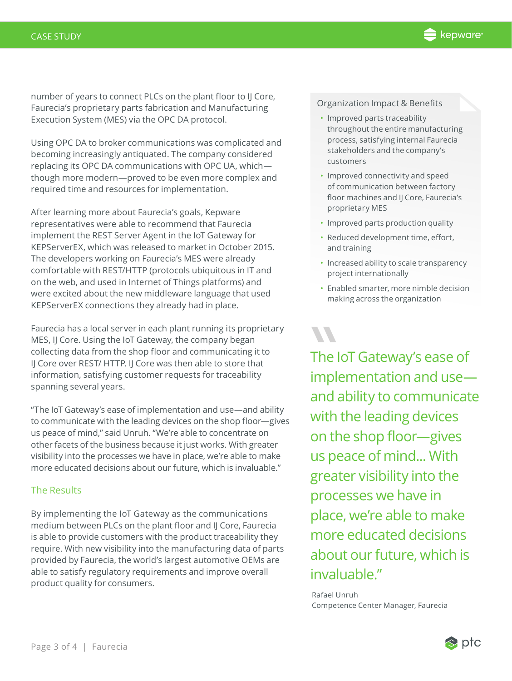

number of years to connect PLCs on the plant floor to IJ Core, Faurecia's proprietary parts fabrication and Manufacturing Execution System (MES) via the OPC DA protocol.

Using OPC DA to broker communications was complicated and becoming increasingly antiquated. The company considered replacing its OPC DA communications with OPC UA, which though more modern—proved to be even more complex and required time and resources for implementation.

After learning more about Faurecia's goals, Kepware representatives were able to recommend that Faurecia implement the REST Server Agent in the IoT Gateway for KEPServerEX, which was released to market in October 2015. The developers working on Faurecia's MES were already comfortable with REST/HTTP (protocols ubiquitous in IT and on the web, and used in Internet of Things platforms) and were excited about the new middleware language that used KEPServerEX connections they already had in place.

Faurecia has a local server in each plant running its proprietary MES, IJ Core. Using the IoT Gateway, the company began collecting data from the shop floor and communicating it to IJ Core over REST/ HTTP. IJ Core was then able to store that information, satisfying customer requests for traceability spanning several years.

"The IoT Gateway's ease of implementation and use—and ability to communicate with the leading devices on the shop floor—gives us peace of mind," said Unruh. "We're able to concentrate on other facets of the business because it just works. With greater visibility into the processes we have in place, we're able to make more educated decisions about our future, which is invaluable."

#### The Results

By implementing the IoT Gateway as the communications medium between PLCs on the plant floor and IJ Core, Faurecia is able to provide customers with the product traceability they require. With new visibility into the manufacturing data of parts provided by Faurecia, the world's largest automotive OEMs are able to satisfy regulatory requirements and improve overall product quality for consumers.

Organization Impact & Benefits

- Improved parts traceability throughout the entire manufacturing process, satisfying internal Faurecia stakeholders and the company's customers
- Improved connectivity and speed of communication between factory floor machines and IJ Core, Faurecia's proprietary MES
- Improved parts production quality
- Reduced development time, effort, and training
- Increased ability to scale transparency project internationally
- Enabled smarter, more nimble decision making across the organization

The k<br>
imple<br>
and a The IoT Gateway's ease of implementation and use and ability to communicate with the leading devices on the shop floor—gives us peace of mind... With greater visibility into the processes we have in place, we're able to make more educated decisions about our future, which is invaluable."

 Rafael Unruh Competence Center Manager, Faurecia